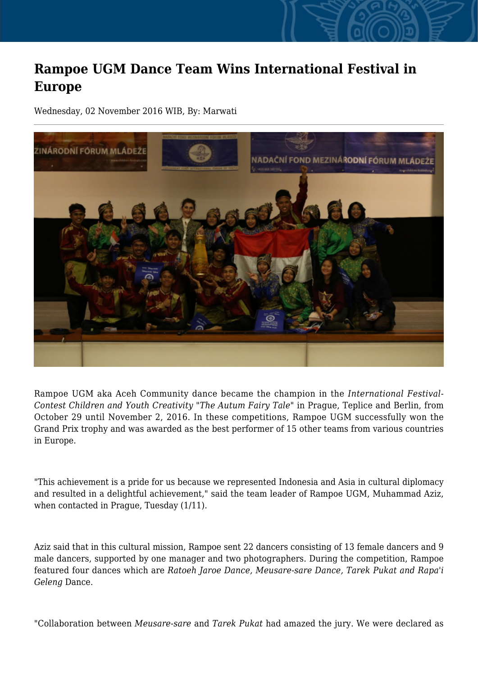## **Rampoe UGM Dance Team Wins International Festival in Europe**

Wednesday, 02 November 2016 WIB, By: Marwati



Rampoe UGM aka Aceh Community dance became the champion in the *International Festival-Contest Children and Youth Creativity "The Autum Fairy Tale"* in Prague, Teplice and Berlin, from October 29 until November 2, 2016. In these competitions, Rampoe UGM successfully won the Grand Prix trophy and was awarded as the best performer of 15 other teams from various countries in Europe.

"This achievement is a pride for us because we represented Indonesia and Asia in cultural diplomacy and resulted in a delightful achievement," said the team leader of Rampoe UGM, Muhammad Aziz, when contacted in Prague, Tuesday (1/11).

Aziz said that in this cultural mission, Rampoe sent 22 dancers consisting of 13 female dancers and 9 male dancers, supported by one manager and two photographers. During the competition, Rampoe featured four dances which are *Ratoeh Jaroe Dance, Meusare-sare Dance, Tarek Pukat and Rapa'i Geleng* Dance.

"Collaboration between *Meusare-sare* and *Tarek Pukat* had amazed the jury. We were declared as